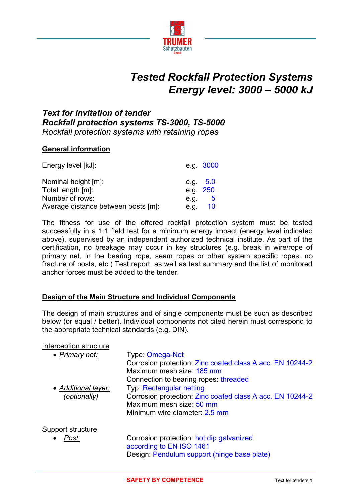

# *Tested Rockfall Protection Systems Energy level: 3000 – 5000 kJ*

# *Text for invitation of tender Rockfall protection systems TS-3000, TS-5000 Rockfall protection systems with retaining ropes*

# **General information**

| Energy level [kJ]:                  | e.g. 3000  |                |
|-------------------------------------|------------|----------------|
| Nominal height [m]:                 | e.g. $5.0$ |                |
| Total length [m]:                   | e.g. 250   |                |
| Number of rows:                     | e.g.       | $\overline{5}$ |
| Average distance between posts [m]: | e.g.       | 10             |

The fitness for use of the offered rockfall protection system must be tested successfully in a 1:1 field test for a minimum energy impact (energy level indicated above), supervised by an independent authorized technical institute. As part of the certification, no breakage may occur in key structures (e.g. break in wire/rope of primary net, in the bearing rope, seam ropes or other system specific ropes; no fracture of posts, etc.) Test report, as well as test summary and the list of monitored anchor forces must be added to the tender.

# **Design of the Main Structure and Individual Components**

The design of main structures and of single components must be such as described below (or equal / better). Individual components not cited herein must correspond to the appropriate technical standards (e.g. DIN).

#### Interception structure

| • Primary net:                      | Type: Omega-Net<br>Corrosion protection: Zinc coated class A acc. EN 10244-2<br>Maximum mesh size: 185 mm<br>Connection to bearing ropes: threaded        |
|-------------------------------------|-----------------------------------------------------------------------------------------------------------------------------------------------------------|
| • Additional layer:<br>(optionally) | <b>Typ: Rectangular netting</b><br>Corrosion protection: Zinc coated class A acc. EN 10244-2<br>Maximum mesh size: 50 mm<br>Minimum wire diameter: 2.5 mm |
| Support structure<br>Post:<br>٠     | Corrosion protection: hot dip galvanized<br>according to EN ISO 1461<br>Design: Pendulum support (hinge base plate)                                       |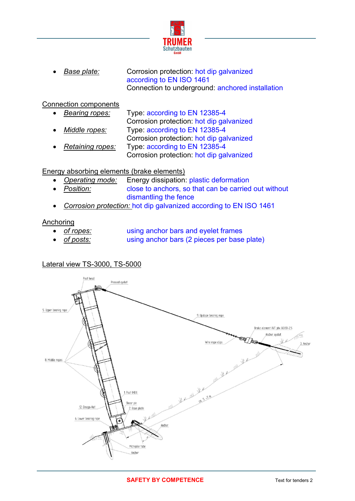

**Base plate:** Corrosion protection: hot dip galvanized according to EN ISO 1461 Connection to underground: anchored installation

## Connection components

- *Bearing ropes:* Type: according to EN 12385-4 Corrosion protection: hot dip galvanized *Middle ropes:* Type: according to EN 12385-4 Corrosion protection: hot dip galvanized
- *Retaining ropes:* Type: according to EN 12385-4 Corrosion protection: hot dip galvanized

# Energy absorbing elements (brake elements)

- *Operating mode:* Energy dissipation: plastic deformation
- **Position: close to anchors, so that can be carried out without** dismantling the fence
- *Corrosion protection:* hot dip galvanized according to EN ISO 1461

### Anchoring

- - *of ropes:* using anchor bars and eyelet frames
- *of posts:* using anchor bars (2 pieces per base plate)

# Lateral view TS-3000, TS-5000